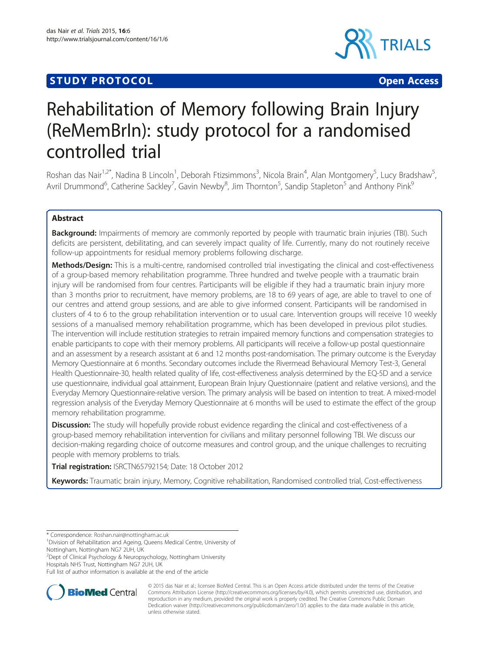# **STUDY PROTOCOL CONSUMING THE CONSUMING OPEN ACCESS**



# Rehabilitation of Memory following Brain Injury (ReMemBrIn): study protocol for a randomised controlled trial

Roshan das Nair<sup>1,2\*</sup>, Nadina B Lincoln<sup>1</sup>, Deborah Ftizsimmons<sup>3</sup>, Nicola Brain<sup>4</sup>, Alan Montgomery<sup>5</sup>, Lucy Bradshaw<sup>5</sup> , Avril Drummond<sup>6</sup>, Catherine Sackley<sup>7</sup>, Gavin Newby<sup>8</sup>, Jim Thornton<sup>5</sup>, Sandip Stapleton<sup>5</sup> and Anthony Pink<sup>9</sup>

# Abstract

Background: Impairments of memory are commonly reported by people with traumatic brain injuries (TBI). Such deficits are persistent, debilitating, and can severely impact quality of life. Currently, many do not routinely receive follow-up appointments for residual memory problems following discharge.

Methods/Design: This is a multi-centre, randomised controlled trial investigating the clinical and cost-effectiveness of a group-based memory rehabilitation programme. Three hundred and twelve people with a traumatic brain injury will be randomised from four centres. Participants will be eligible if they had a traumatic brain injury more than 3 months prior to recruitment, have memory problems, are 18 to 69 years of age, are able to travel to one of our centres and attend group sessions, and are able to give informed consent. Participants will be randomised in clusters of 4 to 6 to the group rehabilitation intervention or to usual care. Intervention groups will receive 10 weekly sessions of a manualised memory rehabilitation programme, which has been developed in previous pilot studies. The intervention will include restitution strategies to retrain impaired memory functions and compensation strategies to enable participants to cope with their memory problems. All participants will receive a follow-up postal questionnaire and an assessment by a research assistant at 6 and 12 months post-randomisation. The primary outcome is the Everyday Memory Questionnaire at 6 months. Secondary outcomes include the Rivermead Behavioural Memory Test-3, General Health Questionnaire-30, health related quality of life, cost-effectiveness analysis determined by the EQ-5D and a service use questionnaire, individual goal attainment, European Brain Injury Questionnaire (patient and relative versions), and the Everyday Memory Questionnaire-relative version. The primary analysis will be based on intention to treat. A mixed-model regression analysis of the Everyday Memory Questionnaire at 6 months will be used to estimate the effect of the group memory rehabilitation programme.

**Discussion:** The study will hopefully provide robust evidence regarding the clinical and cost-effectiveness of a group-based memory rehabilitation intervention for civilians and military personnel following TBI. We discuss our decision-making regarding choice of outcome measures and control group, and the unique challenges to recruiting people with memory problems to trials.

Trial registration: [ISRCTN65792154;](http://www.isrctn.com/ISRCTN65792154) Date: 18 October 2012

Keywords: Traumatic brain injury, Memory, Cognitive rehabilitation, Randomised controlled trial, Cost-effectiveness

\* Correspondence: [Roshan.nair@nottingham.ac.uk](mailto:Roshan.nair@nottingham.ac.uk) <sup>1</sup>

2 Dept of Clinical Psychology & Neuropsychology, Nottingham University Hospitals NHS Trust, Nottingham NG7 2UH, UK

Full list of author information is available at the end of the article



© 2015 das Nair et al.; licensee BioMed Central. This is an Open Access article distributed under the terms of the Creative Commons Attribution License [\(http://creativecommons.org/licenses/by/4.0\)](http://creativecommons.org/licenses/by/4.0), which permits unrestricted use, distribution, and reproduction in any medium, provided the original work is properly credited. The Creative Commons Public Domain Dedication waiver [\(http://creativecommons.org/publicdomain/zero/1.0/](http://creativecommons.org/publicdomain/zero/1.0/)) applies to the data made available in this article, unless otherwise stated.

<sup>&</sup>lt;sup>1</sup>Division of Rehabilitation and Ageing, Queens Medical Centre, University of Nottingham, Nottingham NG7 2UH, UK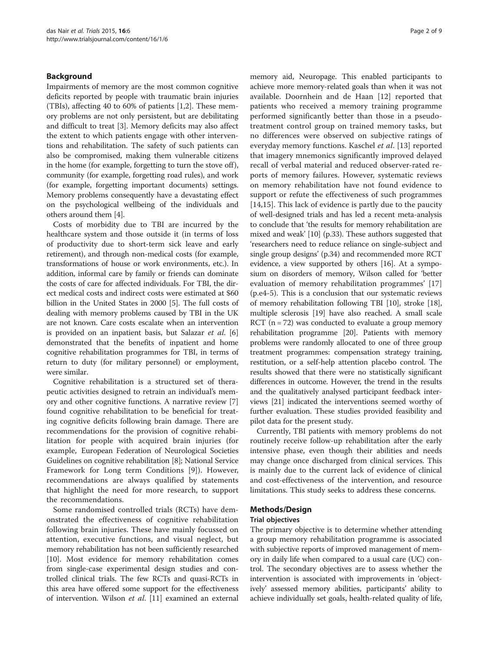# Background

Impairments of memory are the most common cognitive deficits reported by people with traumatic brain injuries (TBIs), affecting 40 to 60% of patients [[1,2\]](#page-8-0). These memory problems are not only persistent, but are debilitating and difficult to treat [[3\]](#page-8-0). Memory deficits may also affect the extent to which patients engage with other interventions and rehabilitation. The safety of such patients can also be compromised, making them vulnerable citizens in the home (for example, forgetting to turn the stove off), community (for example, forgetting road rules), and work (for example, forgetting important documents) settings. Memory problems consequently have a devastating effect on the psychological wellbeing of the individuals and others around them [[4\]](#page-8-0).

Costs of morbidity due to TBI are incurred by the healthcare system and those outside it (in terms of loss of productivity due to short-term sick leave and early retirement), and through non-medical costs (for example, transformations of house or work environments, etc.). In addition, informal care by family or friends can dominate the costs of care for affected individuals. For TBI, the direct medical costs and indirect costs were estimated at \$60 billion in the United States in 2000 [\[5](#page-8-0)]. The full costs of dealing with memory problems caused by TBI in the UK are not known. Care costs escalate when an intervention is provided on an inpatient basis, but Salazar et al. [[6](#page-8-0)] demonstrated that the benefits of inpatient and home cognitive rehabilitation programmes for TBI, in terms of return to duty (for military personnel) or employment, were similar.

Cognitive rehabilitation is a structured set of therapeutic activities designed to retrain an individual's memory and other cognitive functions. A narrative review [\[7](#page-8-0)] found cognitive rehabilitation to be beneficial for treating cognitive deficits following brain damage. There are recommendations for the provision of cognitive rehabilitation for people with acquired brain injuries (for example, European Federation of Neurological Societies Guidelines on cognitive rehabilitation [\[8](#page-8-0)]; National Service Framework for Long term Conditions [[9\]](#page-8-0)). However, recommendations are always qualified by statements that highlight the need for more research, to support the recommendations.

Some randomised controlled trials (RCTs) have demonstrated the effectiveness of cognitive rehabilitation following brain injuries. These have mainly focussed on attention, executive functions, and visual neglect, but memory rehabilitation has not been sufficiently researched [[10](#page-8-0)]. Most evidence for memory rehabilitation comes from single-case experimental design studies and controlled clinical trials. The few RCTs and quasi-RCTs in this area have offered some support for the effectiveness of intervention. Wilson et al. [\[11\]](#page-8-0) examined an external

memory aid, Neuropage. This enabled participants to achieve more memory-related goals than when it was not available. Doornhein and de Haan [\[12](#page-8-0)] reported that patients who received a memory training programme performed significantly better than those in a pseudotreatment control group on trained memory tasks, but no differences were observed on subjective ratings of everyday memory functions. Kaschel et al. [[13\]](#page-8-0) reported that imagery mnemonics significantly improved delayed recall of verbal material and reduced observer-rated reports of memory failures. However, systematic reviews on memory rehabilitation have not found evidence to support or refute the effectiveness of such programmes [[14,15](#page-8-0)]. This lack of evidence is partly due to the paucity of well-designed trials and has led a recent meta-analysis to conclude that 'the results for memory rehabilitation are mixed and weak' [\[10\]](#page-8-0) (p.33). These authors suggested that 'researchers need to reduce reliance on single-subject and single group designs' (p.34) and recommended more RCT evidence, a view supported by others [[16](#page-8-0)]. At a symposium on disorders of memory, Wilson called for 'better evaluation of memory rehabilitation programmes' [\[17](#page-8-0)] (p.e4-5). This is a conclusion that our systematic reviews of memory rehabilitation following TBI [[10](#page-8-0)], stroke [[18](#page-8-0)], multiple sclerosis [[19](#page-8-0)] have also reached. A small scale RCT ( $n = 72$ ) was conducted to evaluate a group memory rehabilitation programme [\[20\]](#page-8-0). Patients with memory problems were randomly allocated to one of three group treatment programmes: compensation strategy training, restitution, or a self-help attention placebo control. The results showed that there were no statistically significant differences in outcome. However, the trend in the results and the qualitatively analysed participant feedback interviews [[21](#page-8-0)] indicated the interventions seemed worthy of further evaluation. These studies provided feasibility and pilot data for the present study.

Currently, TBI patients with memory problems do not routinely receive follow-up rehabilitation after the early intensive phase, even though their abilities and needs may change once discharged from clinical services. This is mainly due to the current lack of evidence of clinical and cost-effectiveness of the intervention, and resource limitations. This study seeks to address these concerns.

#### Methods/Design

#### Trial objectives

The primary objective is to determine whether attending a group memory rehabilitation programme is associated with subjective reports of improved management of memory in daily life when compared to a usual care (UC) control. The secondary objectives are to assess whether the intervention is associated with improvements in 'objectively' assessed memory abilities, participants' ability to achieve individually set goals, health-related quality of life,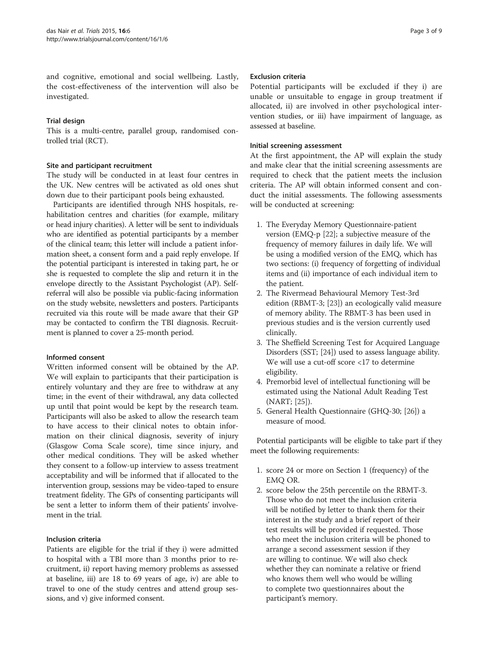and cognitive, emotional and social wellbeing. Lastly, the cost-effectiveness of the intervention will also be investigated.

# Trial design

This is a multi-centre, parallel group, randomised controlled trial (RCT).

# Site and participant recruitment

The study will be conducted in at least four centres in the UK. New centres will be activated as old ones shut down due to their participant pools being exhausted.

Participants are identified through NHS hospitals, rehabilitation centres and charities (for example, military or head injury charities). A letter will be sent to individuals who are identified as potential participants by a member of the clinical team; this letter will include a patient information sheet, a consent form and a paid reply envelope. If the potential participant is interested in taking part, he or she is requested to complete the slip and return it in the envelope directly to the Assistant Psychologist (AP). Selfreferral will also be possible via public-facing information on the study website, newsletters and posters. Participants recruited via this route will be made aware that their GP may be contacted to confirm the TBI diagnosis. Recruitment is planned to cover a 25-month period.

# Informed consent

Written informed consent will be obtained by the AP. We will explain to participants that their participation is entirely voluntary and they are free to withdraw at any time; in the event of their withdrawal, any data collected up until that point would be kept by the research team. Participants will also be asked to allow the research team to have access to their clinical notes to obtain information on their clinical diagnosis, severity of injury (Glasgow Coma Scale score), time since injury, and other medical conditions. They will be asked whether they consent to a follow-up interview to assess treatment acceptability and will be informed that if allocated to the intervention group, sessions may be video-taped to ensure treatment fidelity. The GPs of consenting participants will be sent a letter to inform them of their patients' involvement in the trial.

# Inclusion criteria

Patients are eligible for the trial if they i) were admitted to hospital with a TBI more than 3 months prior to recruitment, ii) report having memory problems as assessed at baseline, iii) are 18 to 69 years of age, iv) are able to travel to one of the study centres and attend group sessions, and v) give informed consent.

#### Exclusion criteria

Potential participants will be excluded if they i) are unable or unsuitable to engage in group treatment if allocated, ii) are involved in other psychological intervention studies, or iii) have impairment of language, as assessed at baseline.

# Initial screening assessment

At the first appointment, the AP will explain the study and make clear that the initial screening assessments are required to check that the patient meets the inclusion criteria. The AP will obtain informed consent and conduct the initial assessments. The following assessments will be conducted at screening:

- 1. The Everyday Memory Questionnaire-patient version (EMQ-p [[22](#page-8-0)]; a subjective measure of the frequency of memory failures in daily life. We will be using a modified version of the EMQ, which has two sections: (i) frequency of forgetting of individual items and (ii) importance of each individual item to the patient.
- 2. The Rivermead Behavioural Memory Test-3rd edition (RBMT-3; [[23](#page-8-0)]) an ecologically valid measure of memory ability. The RBMT-3 has been used in previous studies and is the version currently used clinically.
- 3. The Sheffield Screening Test for Acquired Language Disorders (SST; [[24](#page-8-0)]) used to assess language ability. We will use a cut-off score <17 to determine eligibility.
- 4. Premorbid level of intellectual functioning will be estimated using the National Adult Reading Test (NART; [\[25\]](#page-8-0)).
- 5. General Health Questionnaire (GHQ-30; [\[26](#page-8-0)]) a measure of mood.

Potential participants will be eligible to take part if they meet the following requirements:

- 1. score 24 or more on Section 1 (frequency) of the EMQ OR.
- 2. score below the 25th percentile on the RBMT-3. Those who do not meet the inclusion criteria will be notified by letter to thank them for their interest in the study and a brief report of their test results will be provided if requested. Those who meet the inclusion criteria will be phoned to arrange a second assessment session if they are willing to continue. We will also check whether they can nominate a relative or friend who knows them well who would be willing to complete two questionnaires about the participant's memory.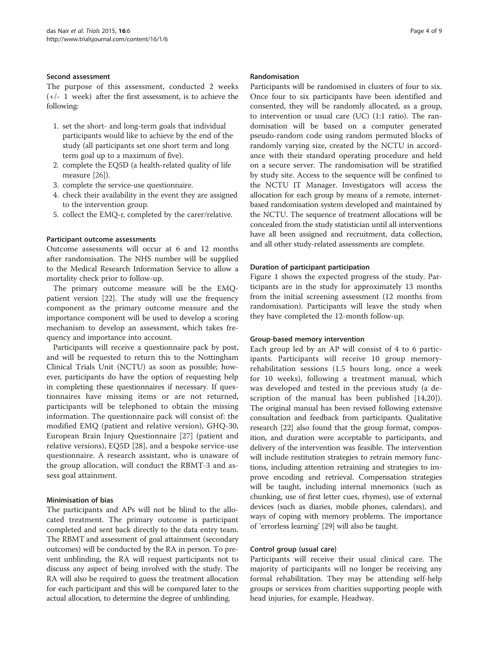#### Second assessment

The purpose of this assessment, conducted 2 weeks (+/- 1 week) after the first assessment, is to achieve the following:

- 1. set the short- and long-term goals that individual participants would like to achieve by the end of the study (all participants set one short term and long term goal up to a maximum of five).
- 2. complete the EQ5D (a health-related quality of life measure [\[26\]](#page-8-0)).
- 3. complete the service-use questionnaire.
- 4. check their availability in the event they are assigned to the intervention group.
- 5. collect the EMQ-r, completed by the carer/relative.

#### Participant outcome assessments

Outcome assessments will occur at 6 and 12 months after randomisation. The NHS number will be supplied to the Medical Research Information Service to allow a mortality check prior to follow-up.

The primary outcome measure will be the EMQpatient version [\[22](#page-8-0)]. The study will use the frequency component as the primary outcome measure and the importance component will be used to develop a scoring mechanism to develop an assessment, which takes frequency and importance into account.

Participants will receive a questionnaire pack by post, and will be requested to return this to the Nottingham Clinical Trials Unit (NCTU) as soon as possible; however, participants do have the option of requesting help in completing these questionnaires if necessary. If questionnaires have missing items or are not returned, participants will be telephoned to obtain the missing information. The questionnaire pack will consist of: the modified EMQ (patient and relative version), GHQ-30, European Brain Injury Questionnaire [[27](#page-8-0)] (patient and relative versions), EQ5D [\[28](#page-8-0)], and a bespoke service-use questionnaire. A research assistant, who is unaware of the group allocation, will conduct the RBMT-3 and assess goal attainment.

#### Minimisation of bias

The participants and APs will not be blind to the allocated treatment. The primary outcome is participant completed and sent back directly to the data entry team. The RBMT and assessment of goal attainment (secondary outcomes) will be conducted by the RA in person. To prevent unblinding, the RA will request participants not to discuss any aspect of being involved with the study. The RA will also be required to guess the treatment allocation for each participant and this will be compared later to the actual allocation, to determine the degree of unblinding.

#### Randomisation

Participants will be randomised in clusters of four to six. Once four to six participants have been identified and consented, they will be randomly allocated, as a group, to intervention or usual care (UC) (1:1 ratio). The randomisation will be based on a computer generated pseudo-random code using random permuted blocks of randomly varying size, created by the NCTU in accordance with their standard operating procedure and held on a secure server. The randomisation will be stratified by study site. Access to the sequence will be confined to the NCTU IT Manager. Investigators will access the allocation for each group by means of a remote, internetbased randomisation system developed and maintained by the NCTU. The sequence of treatment allocations will be concealed from the study statistician until all interventions have all been assigned and recruitment, data collection, and all other study-related assessments are complete.

# Duration of participant participation

Figure [1](#page-4-0) shows the expected progress of the study. Participants are in the study for approximately 13 months from the initial screening assessment (12 months from randomisation). Participants will leave the study when they have completed the 12-month follow-up.

#### Group-based memory intervention

Each group led by an AP will consist of 4 to 6 participants. Participants will receive 10 group memoryrehabilitation sessions (1.5 hours long, once a week for 10 weeks), following a treatment manual, which was developed and tested in the previous study (a de-scription of the manual has been published [[14,20\]](#page-8-0)). The original manual has been revised following extensive consultation and feedback from participants. Qualitative research [[22\]](#page-8-0) also found that the group format, composition, and duration were acceptable to participants, and delivery of the intervention was feasible. The intervention will include restitution strategies to retrain memory functions, including attention retraining and strategies to improve encoding and retrieval. Compensation strategies will be taught, including internal mnemonics (such as chunking, use of first letter cues, rhymes), use of external devices (such as diaries, mobile phones, calendars), and ways of coping with memory problems. The importance of 'errorless learning' [\[29\]](#page-8-0) will also be taught.

#### Control group (usual care)

Participants will receive their usual clinical care. The majority of participants will no longer be receiving any formal rehabilitation. They may be attending self-help groups or services from charities supporting people with head injuries, for example, Headway.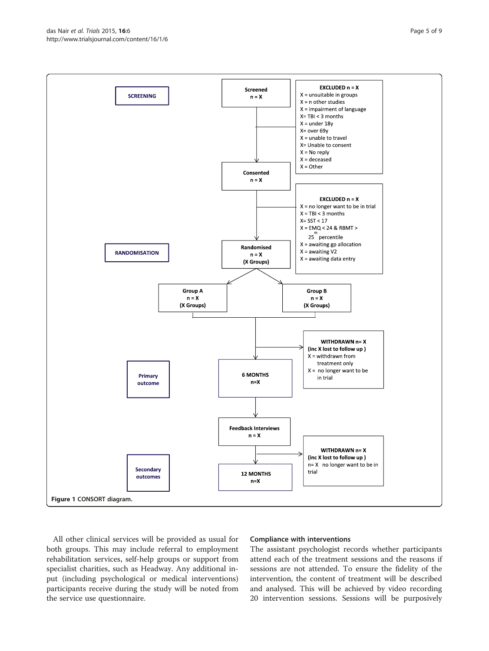<span id="page-4-0"></span>

All other clinical services will be provided as usual for both groups. This may include referral to employment rehabilitation services, self-help groups or support from specialist charities, such as Headway. Any additional input (including psychological or medical interventions) participants receive during the study will be noted from the service use questionnaire.

# Compliance with interventions

The assistant psychologist records whether participants attend each of the treatment sessions and the reasons if sessions are not attended. To ensure the fidelity of the intervention, the content of treatment will be described and analysed. This will be achieved by video recording 20 intervention sessions. Sessions will be purposively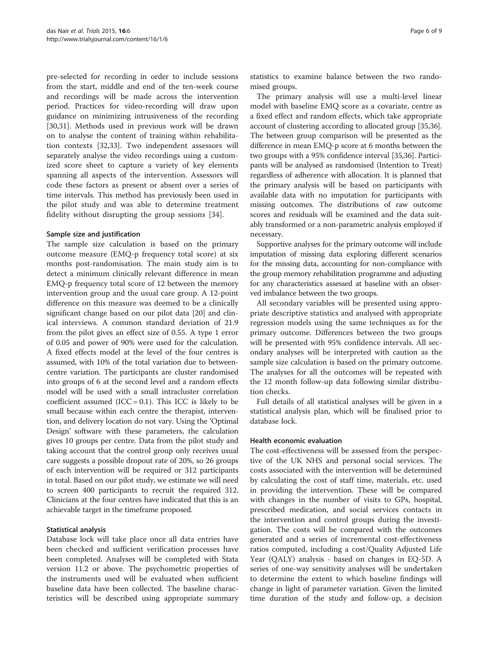pre-selected for recording in order to include sessions from the start, middle and end of the ten-week course and recordings will be made across the intervention period. Practices for video-recording will draw upon guidance on minimizing intrusiveness of the recording [[30,31\]](#page-8-0). Methods used in previous work will be drawn on to analyse the content of training within rehabilitation contexts [\[32,33](#page-8-0)]. Two independent assessors will separately analyse the video recordings using a customized score sheet to capture a variety of key elements spanning all aspects of the intervention. Assessors will code these factors as present or absent over a series of time intervals. This method has previously been used in the pilot study and was able to determine treatment fidelity without disrupting the group sessions [[34\]](#page-8-0).

#### Sample size and justification

The sample size calculation is based on the primary outcome measure (EMQ-p frequency total score) at six months post-randomisation. The main study aim is to detect a minimum clinically relevant difference in mean EMQ-p frequency total score of 12 between the memory intervention group and the usual care group. A 12-point difference on this measure was deemed to be a clinically significant change based on our pilot data [\[20](#page-8-0)] and clinical interviews. A common standard deviation of 21.9 from the pilot gives an effect size of 0.55. A type 1 error of 0.05 and power of 90% were used for the calculation. A fixed effects model at the level of the four centres is assumed, with 10% of the total variation due to betweencentre variation. The participants are cluster randomised into groups of 6 at the second level and a random effects model will be used with a small intracluster correlation coefficient assumed  $(ICC = 0.1)$ . This ICC is likely to be small because within each centre the therapist, intervention, and delivery location do not vary. Using the 'Optimal Design' software with these parameters, the calculation gives 10 groups per centre. Data from the pilot study and taking account that the control group only receives usual care suggests a possible dropout rate of 20%, so 26 groups of each intervention will be required or 312 participants in total. Based on our pilot study, we estimate we will need to screen 400 participants to recruit the required 312. Clinicians at the four centres have indicated that this is an achievable target in the timeframe proposed.

#### Statistical analysis

Database lock will take place once all data entries have been checked and sufficient verification processes have been completed. Analyses will be completed with Stata version 11.2 or above. The psychometric properties of the instruments used will be evaluated when sufficient baseline data have been collected. The baseline characteristics will be described using appropriate summary

statistics to examine balance between the two randomised groups.

The primary analysis will use a multi-level linear model with baseline EMQ score as a covariate, centre as a fixed effect and random effects, which take appropriate account of clustering according to allocated group [\[35,36](#page-8-0)]. The between group comparison will be presented as the difference in mean EMQ-p score at 6 months between the two groups with a 95% confidence interval [\[35,36\]](#page-8-0). Participants will be analysed as randomised (Intention to Treat) regardless of adherence with allocation. It is planned that the primary analysis will be based on participants with available data with no imputation for participants with missing outcomes. The distributions of raw outcome scores and residuals will be examined and the data suitably transformed or a non-parametric analysis employed if necessary.

Supportive analyses for the primary outcome will include imputation of missing data exploring different scenarios for the missing data, accounting for non-compliance with the group memory rehabilitation programme and adjusting for any characteristics assessed at baseline with an observed imbalance between the two groups.

All secondary variables will be presented using appropriate descriptive statistics and analysed with appropriate regression models using the same techniques as for the primary outcome. Differences between the two groups will be presented with 95% confidence intervals. All secondary analyses will be interpreted with caution as the sample size calculation is based on the primary outcome. The analyses for all the outcomes will be repeated with the 12 month follow-up data following similar distribution checks.

Full details of all statistical analyses will be given in a statistical analysis plan, which will be finalised prior to database lock.

#### Health economic evaluation

The cost-effectiveness will be assessed from the perspective of the UK NHS and personal social services. The costs associated with the intervention will be determined by calculating the cost of staff time, materials, etc. used in providing the intervention. These will be compared with changes in the number of visits to GPs, hospital, prescribed medication, and social services contacts in the intervention and control groups during the investigation. The costs will be compared with the outcomes generated and a series of incremental cost-effectiveness ratios computed, including a cost/Quality Adjusted Life Year (QALY) analysis - based on changes in EQ-5D. A series of one-way sensitivity analyses will be undertaken to determine the extent to which baseline findings will change in light of parameter variation. Given the limited time duration of the study and follow-up, a decision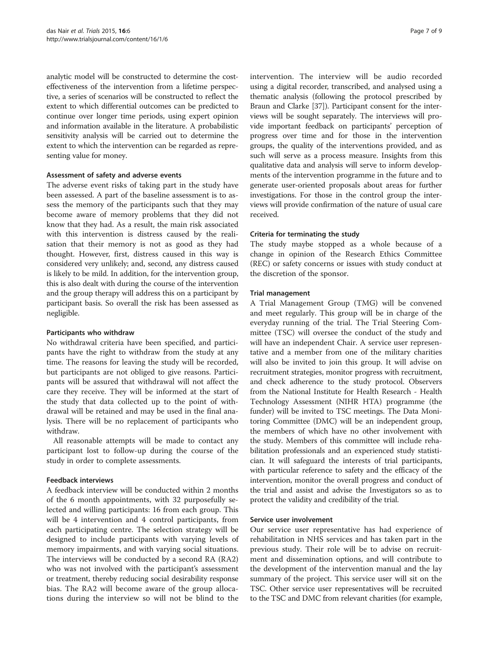analytic model will be constructed to determine the costeffectiveness of the intervention from a lifetime perspective, a series of scenarios will be constructed to reflect the extent to which differential outcomes can be predicted to continue over longer time periods, using expert opinion and information available in the literature. A probabilistic sensitivity analysis will be carried out to determine the extent to which the intervention can be regarded as representing value for money.

#### Assessment of safety and adverse events

The adverse event risks of taking part in the study have been assessed. A part of the baseline assessment is to assess the memory of the participants such that they may become aware of memory problems that they did not know that they had. As a result, the main risk associated with this intervention is distress caused by the realisation that their memory is not as good as they had thought. However, first, distress caused in this way is considered very unlikely; and, second, any distress caused is likely to be mild. In addition, for the intervention group, this is also dealt with during the course of the intervention and the group therapy will address this on a participant by participant basis. So overall the risk has been assessed as negligible.

#### Participants who withdraw

No withdrawal criteria have been specified, and participants have the right to withdraw from the study at any time. The reasons for leaving the study will be recorded, but participants are not obliged to give reasons. Participants will be assured that withdrawal will not affect the care they receive. They will be informed at the start of the study that data collected up to the point of withdrawal will be retained and may be used in the final analysis. There will be no replacement of participants who withdraw.

All reasonable attempts will be made to contact any participant lost to follow-up during the course of the study in order to complete assessments.

# Feedback interviews

A feedback interview will be conducted within 2 months of the 6 month appointments, with 32 purposefully selected and willing participants: 16 from each group. This will be 4 intervention and 4 control participants, from each participating centre. The selection strategy will be designed to include participants with varying levels of memory impairments, and with varying social situations. The interviews will be conducted by a second RA (RA2) who was not involved with the participant's assessment or treatment, thereby reducing social desirability response bias. The RA2 will become aware of the group allocations during the interview so will not be blind to the intervention. The interview will be audio recorded using a digital recorder, transcribed, and analysed using a thematic analysis (following the protocol prescribed by Braun and Clarke [\[37\]](#page-8-0)). Participant consent for the interviews will be sought separately. The interviews will provide important feedback on participants' perception of progress over time and for those in the intervention groups, the quality of the interventions provided, and as such will serve as a process measure. Insights from this qualitative data and analysis will serve to inform developments of the intervention programme in the future and to generate user-oriented proposals about areas for further investigations. For those in the control group the interviews will provide confirmation of the nature of usual care received.

#### Criteria for terminating the study

The study maybe stopped as a whole because of a change in opinion of the Research Ethics Committee (REC) or safety concerns or issues with study conduct at the discretion of the sponsor.

#### Trial management

A Trial Management Group (TMG) will be convened and meet regularly. This group will be in charge of the everyday running of the trial. The Trial Steering Committee (TSC) will oversee the conduct of the study and will have an independent Chair. A service user representative and a member from one of the military charities will also be invited to join this group. It will advise on recruitment strategies, monitor progress with recruitment, and check adherence to the study protocol. Observers from the National Institute for Health Research - Health Technology Assessment (NIHR HTA) programme (the funder) will be invited to TSC meetings. The Data Monitoring Committee (DMC) will be an independent group, the members of which have no other involvement with the study. Members of this committee will include rehabilitation professionals and an experienced study statistician. It will safeguard the interests of trial participants, with particular reference to safety and the efficacy of the intervention, monitor the overall progress and conduct of the trial and assist and advise the Investigators so as to protect the validity and credibility of the trial.

#### Service user involvement

Our service user representative has had experience of rehabilitation in NHS services and has taken part in the previous study. Their role will be to advise on recruitment and dissemination options, and will contribute to the development of the intervention manual and the lay summary of the project. This service user will sit on the TSC. Other service user representatives will be recruited to the TSC and DMC from relevant charities (for example,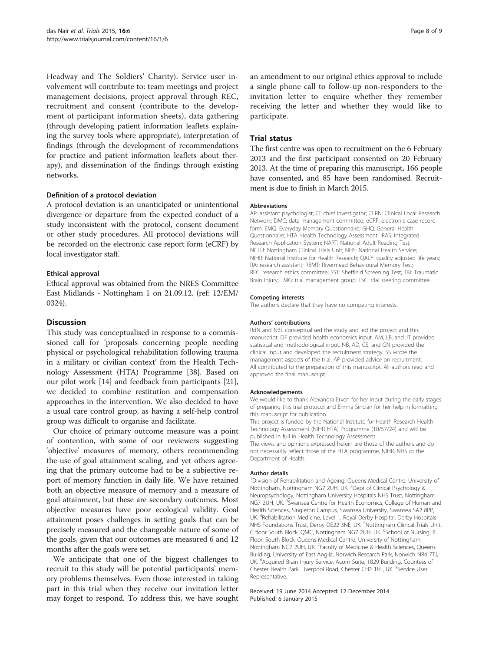Headway and The Soldiers' Charity). Service user involvement will contribute to: team meetings and project management decisions, project approval through REC, recruitment and consent (contribute to the development of participant information sheets), data gathering (through developing patient information leaflets explaining the survey tools where appropriate), interpretation of findings (through the development of recommendations for practice and patient information leaflets about therapy), and dissemination of the findings through existing networks.

#### Definition of a protocol deviation

A protocol deviation is an unanticipated or unintentional divergence or departure from the expected conduct of a study inconsistent with the protocol, consent document or other study procedures. All protocol deviations will be recorded on the electronic case report form (eCRF) by local investigator staff.

#### Ethical approval

Ethical approval was obtained from the NRES Committee East Midlands - Nottingham 1 on 21.09.12. (ref: 12/EM/ 0324).

# **Discussion**

This study was conceptualised in response to a commissioned call for 'proposals concerning people needing physical or psychological rehabilitation following trauma in a military or civilian context' from the Health Technology Assessment (HTA) Programme [[38](#page-8-0)]. Based on our pilot work [\[14](#page-8-0)] and feedback from participants [\[21](#page-8-0)], we decided to combine restitution and compensation approaches in the intervention. We also decided to have a usual care control group, as having a self-help control group was difficult to organise and facilitate.

Our choice of primary outcome measure was a point of contention, with some of our reviewers suggesting 'objective' measures of memory, others recommending the use of goal attainment scaling, and yet others agreeing that the primary outcome had to be a subjective report of memory function in daily life. We have retained both an objective measure of memory and a measure of goal attainment, but these are secondary outcomes. Most objective measures have poor ecological validity. Goal attainment poses challenges in setting goals that can be precisely measured and the changeable nature of some of the goals, given that our outcomes are measured 6 and 12 months after the goals were set.

We anticipate that one of the biggest challenges to recruit to this study will be potential participants' memory problems themselves. Even those interested in taking part in this trial when they receive our invitation letter may forget to respond. To address this, we have sought an amendment to our original ethics approval to include a single phone call to follow-up non-responders to the invitation letter to enquire whether they remember receiving the letter and whether they would like to participate.

#### Trial status

The first centre was open to recruitment on the 6 February 2013 and the first participant consented on 20 February 2013. At the time of preparing this manuscript, 166 people have consented, and 85 have been randomised. Recruitment is due to finish in March 2015.

#### Abbreviations

AP: assistant psychologist; CI: chief investigator; CLRN: Clinical Local Research Network; DMC: data management committee; eCRF: electronic case record form; EMQ: Everyday Memory Questionnaire; GHQ: General Health Questionnaire; HTA: Health Technology Assessment; IRAS: Integrated Research Application System; NART: National Adult Reading Test; NCTU: Nottingham Clinical Trials Unit; NHS: National Health Service; NIHR: National Institute for Health Research; QALY: quality adjusted life years; RA: research assistant; RBMT: Rivermead Behavioural Memory Test; REC: research ethics committee; SST: Sheffield Screening Test; TBI: Traumatic Brain Injury; TMG: trial management group; TSC: trial steering committee.

#### Competing interests

The authors declare that they have no competing interests.

#### Authors' contributions

RdN and NBL conceptualised the study and led the project and this manuscript. DF provided health economics input. AM, LB, and JT provided statistical and methodological input. NB, AD, CS, and GN provided the clinical input and developed the recruitment strategy. SS wrote the management aspects of the trial. AP provided advice on recruitment. All contributed to the preparation of this manuscript. All authors read and approved the final manuscript.

#### Acknowledgements

We would like to thank Alexandra Erven for her input during the early stages of preparing this trial protocol and Emma Sinclair for her help in formatting this manuscript for publication.

This project is funded by the National Institute for Health Research Health Technology Assessment (NIHR HTA) Programme (10/57/24) and will be published in full in Health Technology Assessment.

The views and opinions expressed herein are those of the authors and do not necessarily reflect those of the HTA programme, NIHR, NHS or the Department of Health.

#### Author details

<sup>1</sup> Division of Rehabilitation and Ageing, Queens Medical Centre, University of Nottingham, Nottingham NG7 2UH, UK. <sup>2</sup>Dept of Clinical Psychology & Neuropsychology, Nottingham University Hospitals NHS Trust, Nottingham NG7 2UH, UK. <sup>3</sup>Swansea Centre for Health Economics, College of Human and Health Sciences, Singleton Campus, Swansea University, Swansea SA2 8PP, UK. <sup>4</sup>Rehabilitation Medicine, Level 1, Royal Derby Hospital, Derby Hospitals NHS Foundations Trust, Derby DE22 3NE, UK. <sup>5</sup>Nottingham Clinical Trials Unit C floor South Block, QMC, Nottingham NG7 2UH, UK. <sup>6</sup>School of Nursing, B Floor, South Block, Queens Medical Centre, University of Nottingham, Nottingham NG7 2UH, UK. <sup>7</sup> Faculty of Medicine & Health Sciences, Queens Building, University of East Anglia, Norwich Research Park, Norwich NR4 7TJ, UK. <sup>8</sup> Acquired Brain Injury Service, Acorn Suite, 1829 Building, Countess of Chester Health Park, Liverpool Road, Chester CH2 1HJ, UK. <sup>9</sup>Service User Representative.

#### Received: 19 June 2014 Accepted: 12 December 2014 Published: 6 January 2015